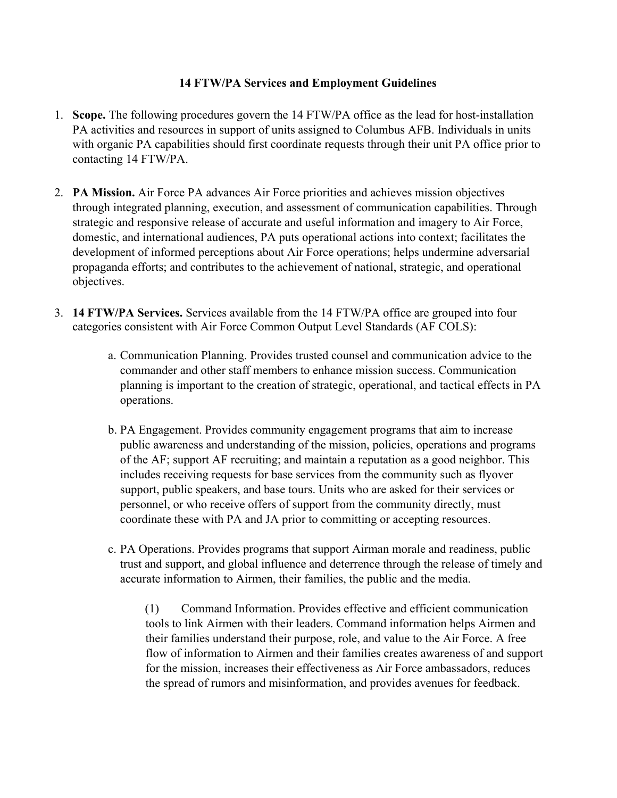## **14 FTW/PA Services and Employment Guidelines**

- 1. **Scope.** The following procedures govern the 14 FTW/PA office as the lead for host-installation PA activities and resources in support of units assigned to Columbus AFB. Individuals in units with organic PA capabilities should first coordinate requests through their unit PA office prior to contacting 14 FTW/PA.
- 2. **PA Mission.** Air Force PA advances Air Force priorities and achieves mission objectives through integrated planning, execution, and assessment of communication capabilities. Through strategic and responsive release of accurate and useful information and imagery to Air Force, domestic, and international audiences, PA puts operational actions into context; facilitates the development of informed perceptions about Air Force operations; helps undermine adversarial propaganda efforts; and contributes to the achievement of national, strategic, and operational objectives.
- 3. **14 FTW/PA Services.** Services available from the 14 FTW/PA office are grouped into four categories consistent with Air Force Common Output Level Standards (AF COLS):
	- a. Communication Planning. Provides trusted counsel and communication advice to the commander and other staff members to enhance mission success. Communication planning is important to the creation of strategic, operational, and tactical effects in PA operations.
	- b. PA Engagement. Provides community engagement programs that aim to increase public awareness and understanding of the mission, policies, operations and programs of the AF; support AF recruiting; and maintain a reputation as a good neighbor. This includes receiving requests for base services from the community such as flyover support, public speakers, and base tours. Units who are asked for their services or personnel, or who receive offers of support from the community directly, must coordinate these with PA and JA prior to committing or accepting resources.
	- c. PA Operations. Provides programs that support Airman morale and readiness, public trust and support, and global influence and deterrence through the release of timely and accurate information to Airmen, their families, the public and the media.
		- (1) Command Information. Provides effective and efficient communication tools to link Airmen with their leaders. Command information helps Airmen and their families understand their purpose, role, and value to the Air Force. A free flow of information to Airmen and their families creates awareness of and support for the mission, increases their effectiveness as Air Force ambassadors, reduces the spread of rumors and misinformation, and provides avenues for feedback.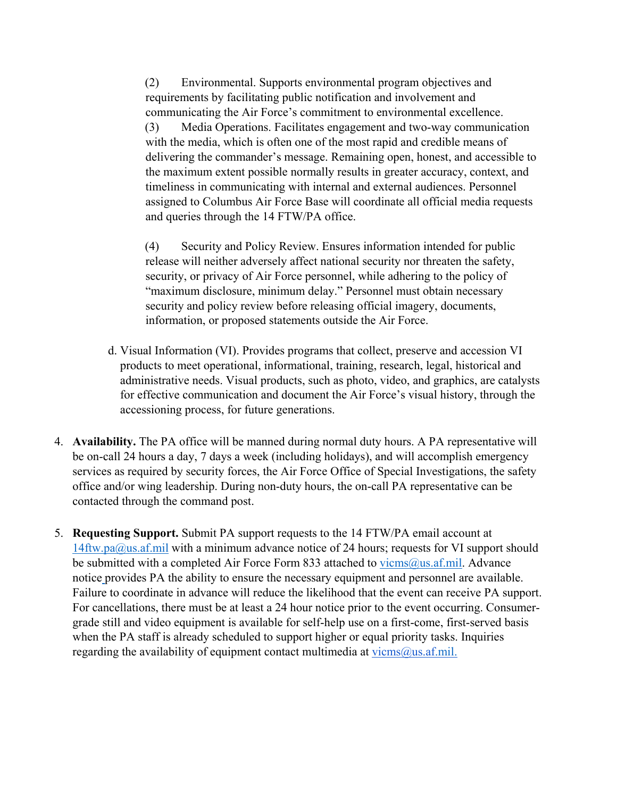(2) Environmental. Supports environmental program objectives and requirements by facilitating public notification and involvement and communicating the Air Force's commitment to environmental excellence. (3) Media Operations. Facilitates engagement and two-way communication with the media, which is often one of the most rapid and credible means of delivering the commander's message. Remaining open, honest, and accessible to the maximum extent possible normally results in greater accuracy, context, and timeliness in communicating with internal and external audiences. Personnel assigned to Columbus Air Force Base will coordinate all official media requests and queries through the 14 FTW/PA office.

(4) Security and Policy Review. Ensures information intended for public release will neither adversely affect national security nor threaten the safety, security, or privacy of Air Force personnel, while adhering to the policy of "maximum disclosure, minimum delay." Personnel must obtain necessary security and policy review before releasing official imagery, documents, information, or proposed statements outside the Air Force.

- d. Visual Information (VI). Provides programs that collect, preserve and accession VI products to meet operational, informational, training, research, legal, historical and administrative needs. Visual products, such as photo, video, and graphics, are catalysts for effective communication and document the Air Force's visual history, through the accessioning process, for future generations.
- 4. **Availability.** The PA office will be manned during normal duty hours. A PA representative will be on-call 24 hours a day, 7 days a week (including holidays), and will accomplish emergency services as required by security forces, the Air Force Office of Special Investigations, the safety office and/or wing leadership. During non-duty hours, the on-call PA representative can be contacted through the command post.
- 5. **Requesting Support.** Submit PA support requests to the 14 FTW/PA email account at 14ftw.pa@us.af.mil with a minimum advance notice of 24 hours; requests for VI support should be submitted with a completed Air Force Form 833 attached to  $\overline{v}$  icms $\overline{a}$  us. af.mil. Advance notice provides PA the ability to ensure the necessary equipment and personnel are available. Failure to coordinate in advance will reduce the likelihood that the event can receive PA support. For cancellations, there must be at least a 24 hour notice prior to the event occurring. Consumergrade still and video equipment is available for self-help use on a first-come, first-served basis when the PA staff is already scheduled to support higher or equal priority tasks. Inquiries regarding the availability of equipment contact multimedia at  $\overline{v}$  icms $\omega$ us.af.mil.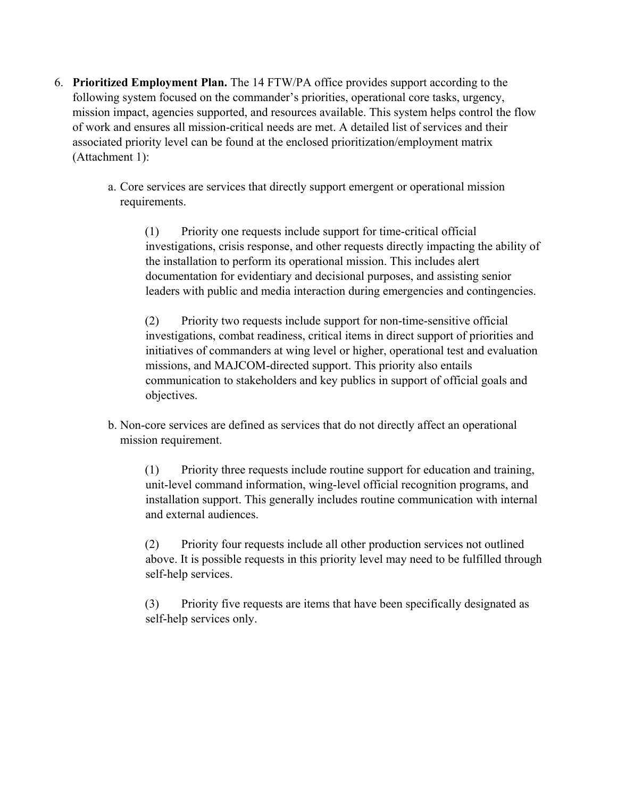- 6. **Prioritized Employment Plan.** The 14 FTW/PA office provides support according to the following system focused on the commander's priorities, operational core tasks, urgency, mission impact, agencies supported, and resources available. This system helps control the flow of work and ensures all mission-critical needs are met. A detailed list of services and their associated priority level can be found at the enclosed prioritization/employment matrix (Attachment 1):
	- a. Core services are services that directly support emergent or operational mission requirements.

(1) Priority one requests include support for time-critical official investigations, crisis response, and other requests directly impacting the ability of the installation to perform its operational mission. This includes alert documentation for evidentiary and decisional purposes, and assisting senior leaders with public and media interaction during emergencies and contingencies.

(2) Priority two requests include support for non-time-sensitive official investigations, combat readiness, critical items in direct support of priorities and initiatives of commanders at wing level or higher, operational test and evaluation missions, and MAJCOM-directed support. This priority also entails communication to stakeholders and key publics in support of official goals and objectives.

b. Non-core services are defined as services that do not directly affect an operational mission requirement.

(1) Priority three requests include routine support for education and training, unit-level command information, wing-level official recognition programs, and installation support. This generally includes routine communication with internal and external audiences.

(2) Priority four requests include all other production services not outlined above. It is possible requests in this priority level may need to be fulfilled through self-help services.

(3) Priority five requests are items that have been specifically designated as self-help services only.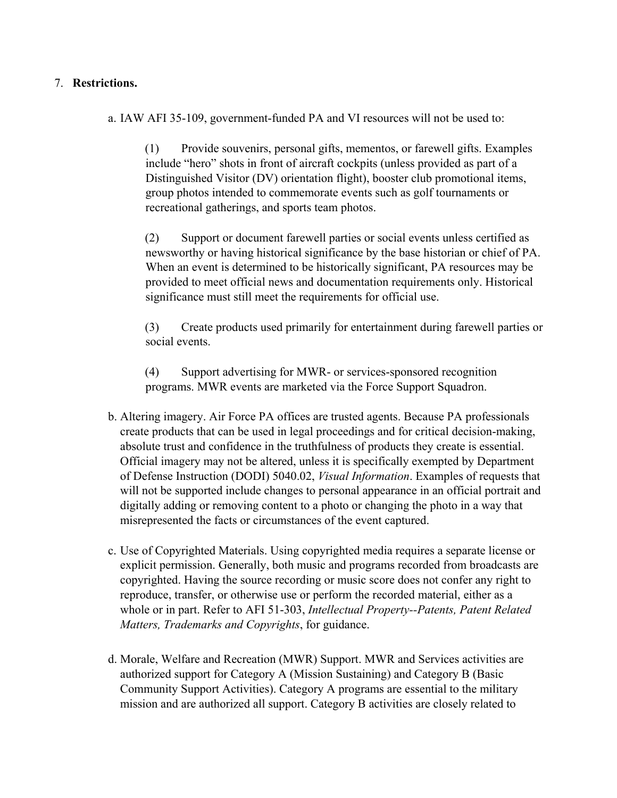## 7. **Restrictions.**

a. IAW AFI 35-109, government-funded PA and VI resources will not be used to:

(1) Provide souvenirs, personal gifts, mementos, or farewell gifts. Examples include "hero" shots in front of aircraft cockpits (unless provided as part of a Distinguished Visitor (DV) orientation flight), booster club promotional items, group photos intended to commemorate events such as golf tournaments or recreational gatherings, and sports team photos.

(2) Support or document farewell parties or social events unless certified as newsworthy or having historical significance by the base historian or chief of PA. When an event is determined to be historically significant, PA resources may be provided to meet official news and documentation requirements only. Historical significance must still meet the requirements for official use.

(3) Create products used primarily for entertainment during farewell parties or social events.

(4) Support advertising for MWR- or services-sponsored recognition programs. MWR events are marketed via the Force Support Squadron.

- b. Altering imagery. Air Force PA offices are trusted agents. Because PA professionals create products that can be used in legal proceedings and for critical decision-making, absolute trust and confidence in the truthfulness of products they create is essential. Official imagery may not be altered, unless it is specifically exempted by Department of Defense Instruction (DODI) 5040.02, *Visual Information*. Examples of requests that will not be supported include changes to personal appearance in an official portrait and digitally adding or removing content to a photo or changing the photo in a way that misrepresented the facts or circumstances of the event captured.
- c. Use of Copyrighted Materials. Using copyrighted media requires a separate license or explicit permission. Generally, both music and programs recorded from broadcasts are copyrighted. Having the source recording or music score does not confer any right to reproduce, transfer, or otherwise use or perform the recorded material, either as a whole or in part. Refer to AFI 51-303, *Intellectual Property--Patents, Patent Related Matters, Trademarks and Copyrights*, for guidance.
- d. Morale, Welfare and Recreation (MWR) Support. MWR and Services activities are authorized support for Category A (Mission Sustaining) and Category B (Basic Community Support Activities). Category A programs are essential to the military mission and are authorized all support. Category B activities are closely related to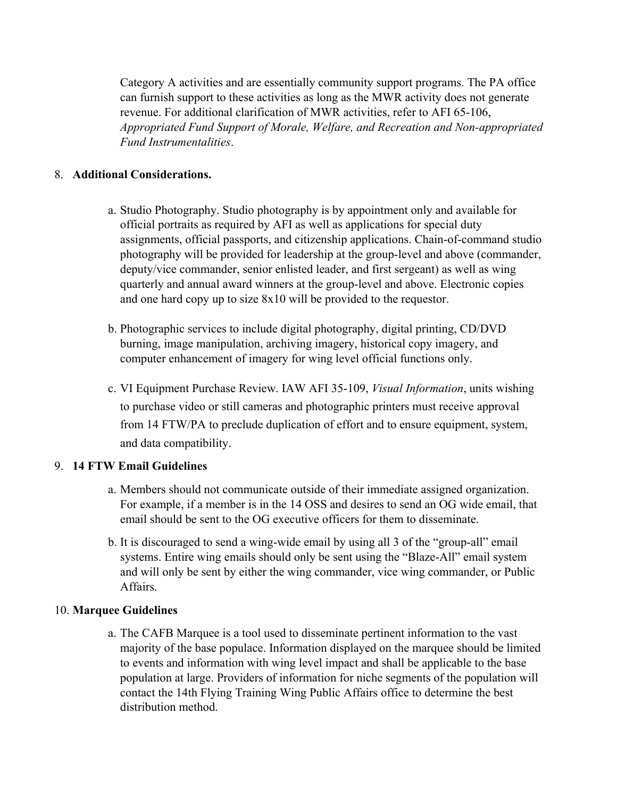Category A activities and are essentially community support programs. The PA office can furnish support to these activities as long as the MWR activity does not generate revenue. For additional clarification of MWR activities, refer to AFI 65-106, *Appropriated Fund Support of Morale, Welfare, and Recreation and Non-appropriated Fund Instrumentalities*.

# 8. **Additional Considerations.**

- a. Studio Photography. Studio photography is by appointment only and available for official portraits as required by AFI as well as applications for special duty assignments, official passports, and citizenship applications. Chain-of-command studio photography will be provided for leadership at the group-level and above (commander, deputy/vice commander, senior enlisted leader, and first sergeant) as well as wing quarterly and annual award winners at the group-level and above. Electronic copies and one hard copy up to size 8x10 will be provided to the requestor.
- b. Photographic services to include digital photography, digital printing, CD/DVD burning, image manipulation, archiving imagery, historical copy imagery, and computer enhancement of imagery for wing level official functions only.
- c. VI Equipment Purchase Review. IAW AFI 35-109, *Visual Information*, units wishing to purchase video or still cameras and photographic printers must receive approval from 14 FTW/PA to preclude duplication of effort and to ensure equipment, system, and data compatibility.

## 9. **14 FTW Email Guidelines**

- a. Members should not communicate outside of their immediate assigned organization. For example, if a member is in the 14 OSS and desires to send an OG wide email, that email should be sent to the OG executive officers for them to disseminate.
- b. It is discouraged to send a wing-wide email by using all 3 of the "group-all" email systems. Entire wing emails should only be sent using the "Blaze-All" email system and will only be sent by either the wing commander, vice wing commander, or Public Affairs.

## 10. **Marquee Guidelines**

a. The CAFB Marquee is a tool used to disseminate pertinent information to the vast majority of the base populace. Information displayed on the marquee should be limited to events and information with wing level impact and shall be applicable to the base population at large. Providers of information for niche segments of the population will contact the 14th Flying Training Wing Public Affairs office to determine the best distribution method.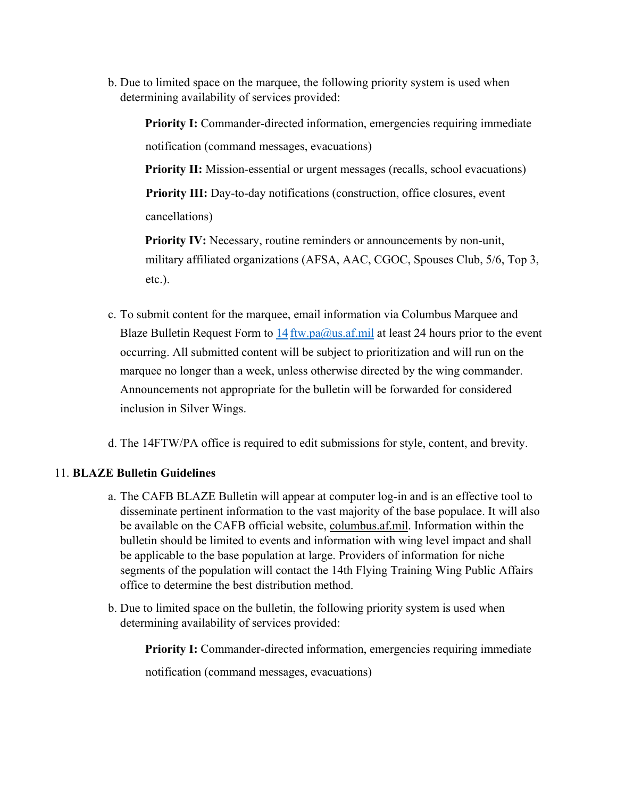b. Due to limited space on the marquee, the following priority system is used when determining availability of services provided:

**Priority I:** Commander-directed information, emergencies requiring immediate notification (command messages, evacuations) **Priority II:** Mission-essential or urgent messages (recalls, school evacuations)

**Priority III:** Day-to-day notifications (construction, office closures, event

cancellations)

**Priority IV:** Necessary, routine reminders or announcements by non-unit, military affiliated organizations (AFSA, AAC, CGOC, Spouses Club, 5/6, Top 3, etc.).

- c. To submit content for the marquee, email information via Columbus Marquee and Blaze Bulletin Request Form to 14 ftw.pa@us.af.mil at least 24 hours prior to the event occurring. All submitted content will be subject to prioritization and will run on the marquee no longer than a week, unless otherwise directed by the wing commander. Announcements not appropriate for the bulletin will be forwarded for considered inclusion in Silver Wings.
- d. The 14FTW/PA office is required to edit submissions for style, content, and brevity.

## 11. **BLAZE Bulletin Guidelines**

- a. The CAFB BLAZE Bulletin will appear at computer log-in and is an effective tool to disseminate pertinent information to the vast majority of the base populace. It will also be available on the CAFB official website, columbus.af.mil. Information within the bulletin should be limited to events and information with wing level impact and shall be applicable to the base population at large. Providers of information for niche segments of the population will contact the 14th Flying Training Wing Public Affairs office to determine the best distribution method.
- b. Due to limited space on the bulletin, the following priority system is used when determining availability of services provided:

**Priority I:** Commander-directed information, emergencies requiring immediate notification (command messages, evacuations)